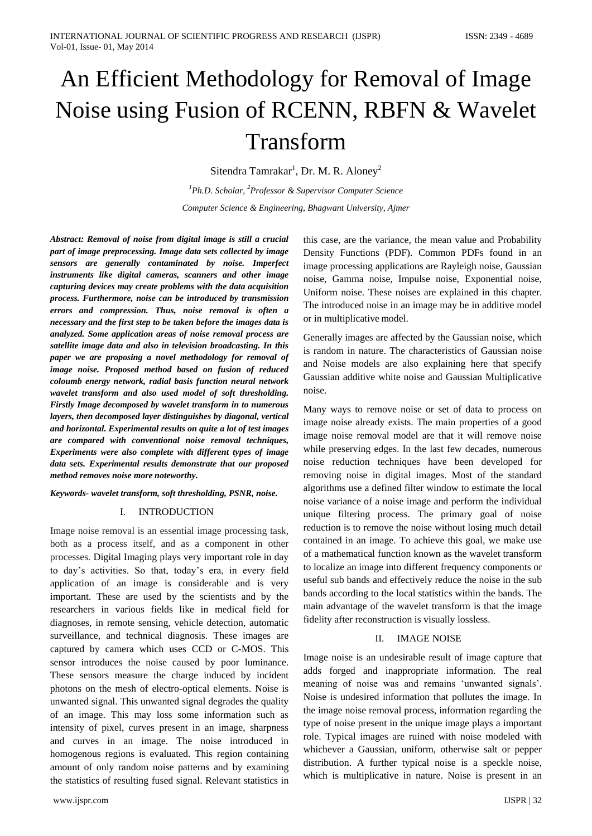# An Efficient Methodology for Removal of Image Noise using Fusion of RCENN, RBFN & Wavelet Transform

Sitendra Tamrakar<sup>1</sup>, Dr. M. R. Aloney<sup>2</sup>

*<sup>1</sup>Ph.D. Scholar, <sup>2</sup>Professor & Supervisor Computer Science Computer Science & Engineering, Bhagwant University, Ajmer*

*Abstract: Removal of noise from digital image is still a crucial part of image preprocessing. Image data sets collected by image sensors are generally contaminated by noise. Imperfect instruments like digital cameras, scanners and other image capturing devices may create problems with the data acquisition process. Furthermore, noise can be introduced by transmission errors and compression. Thus, noise removal is often a necessary and the first step to be taken before the images data is analyzed. Some application areas of noise removal process are satellite image data and also in television broadcasting. In this paper we are proposing a novel methodology for removal of image noise. Proposed method based on fusion of reduced coloumb energy network, radial basis function neural network wavelet transform and also used model of soft thresholding. Firstly Image decomposed by wavelet transform in to numerous layers, then decomposed layer distinguishes by diagonal, vertical and horizontal. Experimental results on quite a lot of test images are compared with conventional noise removal techniques, Experiments were also complete with different types of image data sets. Experimental results demonstrate that our proposed method removes noise more noteworthy.*

#### *Keywords- wavelet transform, soft thresholding, PSNR, noise.*

#### I. INTRODUCTION

Image noise removal is an essential image processing task, both as a process itself, and as a component in other processes. Digital Imaging plays very important role in day to day"s activities. So that, today"s era, in every field application of an image is considerable and is very important. These are used by the scientists and by the researchers in various fields like in medical field for diagnoses, in remote sensing, vehicle detection, automatic surveillance, and technical diagnosis. These images are captured by camera which uses CCD or C-MOS. This sensor introduces the noise caused by poor luminance. These sensors measure the charge induced by incident photons on the mesh of electro-optical elements. Noise is unwanted signal. This unwanted signal degrades the quality of an image. This may loss some information such as intensity of pixel, curves present in an image, sharpness and curves in an image. The noise introduced in homogenous regions is evaluated. This region containing amount of only random noise patterns and by examining the statistics of resulting fused signal. Relevant statistics in this case, are the variance, the mean value and Probability Density Functions (PDF). Common PDFs found in an image processing applications are Rayleigh noise, Gaussian noise, Gamma noise, Impulse noise, Exponential noise, Uniform noise. These noises are explained in this chapter. The introduced noise in an image may be in additive model or in multiplicative model.

Generally images are affected by the Gaussian noise, which is random in nature. The characteristics of Gaussian noise and Noise models are also explaining here that specify Gaussian additive white noise and Gaussian Multiplicative noise.

Many ways to remove noise or set of data to process on image noise already exists. The main properties of a good image noise removal model are that it will remove noise while preserving edges. In the last few decades, numerous noise reduction techniques have been developed for removing noise in digital images. Most of the standard algorithms use a defined filter window to estimate the local noise variance of a noise image and perform the individual unique filtering process. The primary goal of noise reduction is to remove the noise without losing much detail contained in an image. To achieve this goal, we make use of a mathematical function known as the wavelet transform to localize an image into different frequency components or useful sub bands and effectively reduce the noise in the sub bands according to the local statistics within the bands. The main advantage of the wavelet transform is that the image fidelity after reconstruction is visually lossless.

## II. IMAGE NOISE

Image noise is an undesirable result of image capture that adds forged and inappropriate information. The real meaning of noise was and remains "unwanted signals". Noise is undesired information that pollutes the image. In the image noise removal process, information regarding the type of noise present in the unique image plays a important role. Typical images are ruined with noise modeled with whichever a Gaussian, uniform, otherwise salt or pepper distribution. A further typical noise is a speckle noise, which is multiplicative in nature. Noise is present in an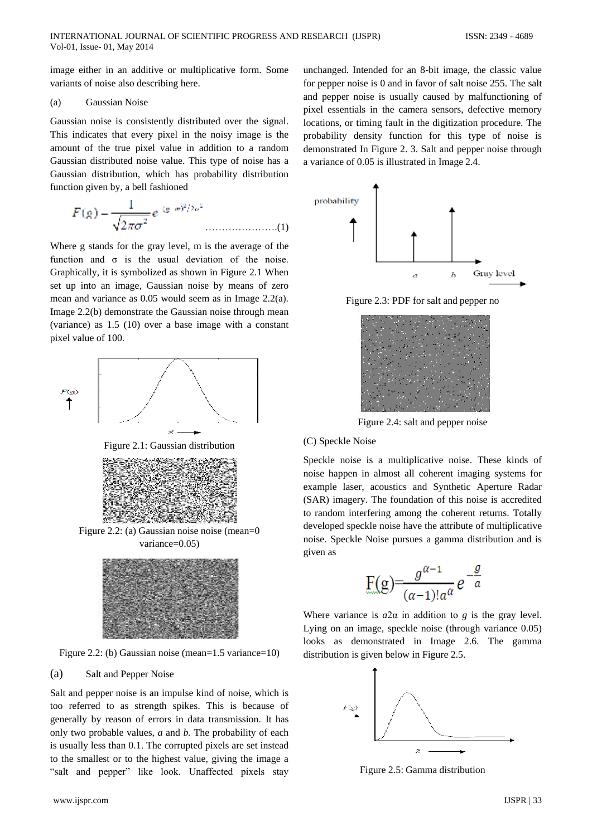image either in an additive or multiplicative form. Some variants of noise also describing here.

#### (a) Gaussian Noise

Gaussian noise is consistently distributed over the signal. This indicates that every pixel in the noisy image is the amount of the true pixel value in addition to a random Gaussian distributed noise value. This type of noise has a Gaussian distribution, which has probability distribution function given by, a bell fashioned

$$
F(g) = \frac{1}{\sqrt{2\pi\sigma^2}} e^{-(g/m)^2/2\sigma^2}
$$
............(1)

Where g stands for the gray level, m is the average of the function and  $\sigma$  is the usual deviation of the noise. Graphically, it is symbolized as shown in Figure 2.1 When set up into an image, Gaussian noise by means of zero mean and variance as 0.05 would seem as in Image 2.2(a). Image 2.2(b) demonstrate the Gaussian noise through mean (variance) as 1.5 (10) over a base image with a constant pixel value of 100.



Figure 2.2: (b) Gaussian noise (mean=1.5 variance=10)

#### (a) Salt and Pepper Noise

Salt and pepper noise is an impulse kind of noise, which is too referred to as strength spikes. This is because of generally by reason of errors in data transmission. It has only two probable values, *a* and *b.* The probability of each is usually less than 0.1. The corrupted pixels are set instead to the smallest or to the highest value, giving the image a "salt and pepper" like look. Unaffected pixels stay

unchanged. Intended for an 8-bit image, the classic value for pepper noise is 0 and in favor of salt noise 255. The salt and pepper noise is usually caused by malfunctioning of pixel essentials in the camera sensors, defective memory locations, or timing fault in the digitization procedure. The probability density function for this type of noise is demonstrated In Figure 2. 3. Salt and pepper noise through a variance of 0.05 is illustrated in Image 2.4.



Figure 2.3: PDF for salt and pepper no



Figure 2.4: salt and pepper noise

## (C) Speckle Noise

Speckle noise is a multiplicative noise. These kinds of noise happen in almost all coherent imaging systems for example laser, acoustics and Synthetic Aperture Radar (SAR) imagery. The foundation of this noise is accredited to random interfering among the coherent returns. Totally developed speckle noise have the attribute of multiplicative noise. Speckle Noise pursues a gamma distribution and is given as

$$
F(g) = \frac{g^{\alpha-1}}{(\alpha-1)!a^{\alpha}} e^{-\frac{g}{a}}
$$

Where variance is  $a2\alpha$  in addition to *g* is the gray level. Lying on an image, speckle noise (through variance 0.05) looks as demonstrated in Image 2.6. The gamma distribution is given below in Figure 2.5.



Figure 2.5: Gamma distribution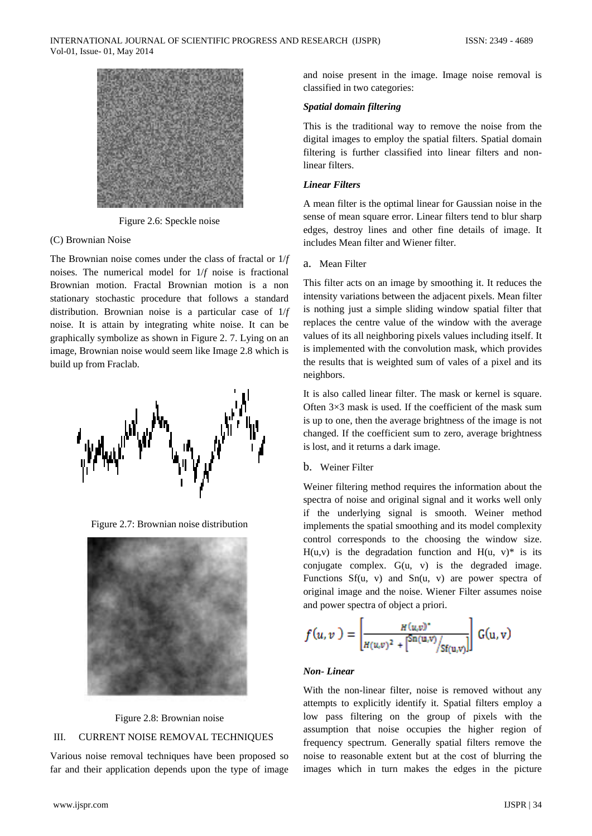

Figure 2.6: Speckle noise

#### (C) Brownian Noise

The Brownian noise comes under the class of fractal or 1/*f*  noises. The numerical model for 1/*f* noise is fractional Brownian motion. Fractal Brownian motion is a non stationary stochastic procedure that follows a standard distribution. Brownian noise is a particular case of 1/*f*  noise. It is attain by integrating white noise. It can be graphically symbolize as shown in Figure 2. 7. Lying on an image, Brownian noise would seem like Image 2.8 which is build up from Fraclab.



Figure 2.7: Brownian noise distribution





## III. CURRENT NOISE REMOVAL TECHNIQUES

Various noise removal techniques have been proposed so far and their application depends upon the type of image

and noise present in the image. Image noise removal is classified in two categories:

#### *Spatial domain filtering*

This is the traditional way to remove the noise from the digital images to employ the spatial filters. Spatial domain filtering is further classified into linear filters and nonlinear filters.

## *Linear Filters*

A mean filter is the optimal linear for Gaussian noise in the sense of mean square error. Linear filters tend to blur sharp edges, destroy lines and other fine details of image. It includes Mean filter and Wiener filter.

#### a. Mean Filter

This filter acts on an image by smoothing it. It reduces the intensity variations between the adjacent pixels. Mean filter is nothing just a simple sliding window spatial filter that replaces the centre value of the window with the average values of its all neighboring pixels values including itself. It is implemented with the convolution mask, which provides the results that is weighted sum of vales of a pixel and its neighbors.

It is also called linear filter. The mask or kernel is square. Often 3×3 mask is used. If the coefficient of the mask sum is up to one, then the average brightness of the image is not changed. If the coefficient sum to zero, average brightness is lost, and it returns a dark image.

#### b. Weiner Filter

Weiner filtering method requires the information about the spectra of noise and original signal and it works well only if the underlying signal is smooth. Weiner method implements the spatial smoothing and its model complexity control corresponds to the choosing the window size.  $H(u,v)$  is the degradation function and  $H(u, v)^*$  is its conjugate complex. G(u, v) is the degraded image. Functions  $Sf(u, v)$  and  $Sn(u, v)$  are power spectra of original image and the noise. Wiener Filter assumes noise and power spectra of object a priori.

$$
f(u,v) = \left| \frac{H(u,v)^{*}}{H(u,v)^{2} + {Sn(u,v)}/{Sf(u,v)}} \right| G(u,v)
$$

#### *Non- Linear*

With the non-linear filter, noise is removed without any attempts to explicitly identify it. Spatial filters employ a low pass filtering on the group of pixels with the assumption that noise occupies the higher region of frequency spectrum. Generally spatial filters remove the noise to reasonable extent but at the cost of blurring the images which in turn makes the edges in the picture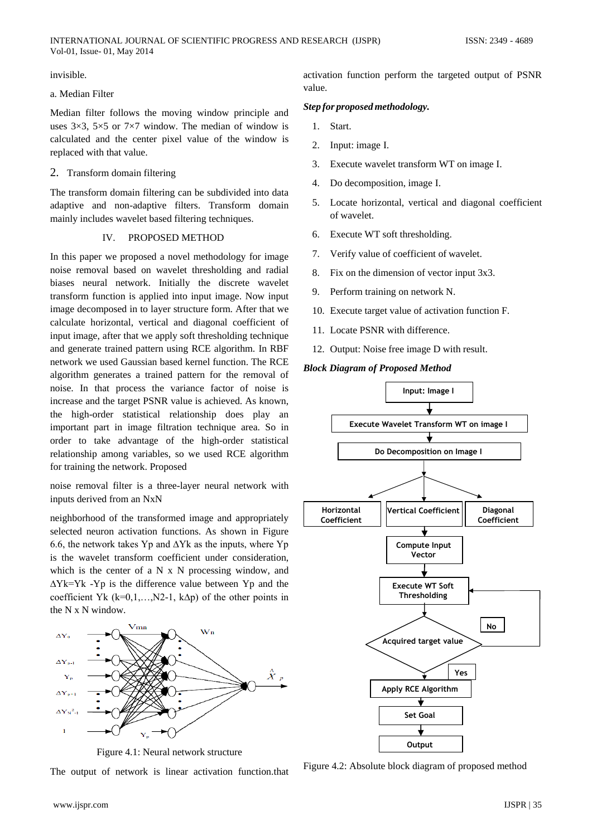invisible.

# a. Median Filter

Vol-01, Issue- 01, May 2014

Median filter follows the moving window principle and uses  $3\times3$ ,  $5\times5$  or  $7\times7$  window. The median of window is calculated and the center pixel value of the window is replaced with that value.

# 2. Transform domain filtering

The transform domain filtering can be subdivided into data adaptive and non-adaptive filters. Transform domain mainly includes wavelet based filtering techniques.

# IV. PROPOSED METHOD

In this paper we proposed a novel methodology for image noise removal based on wavelet thresholding and radial biases neural network. Initially the discrete wavelet transform function is applied into input image. Now input image decomposed in to layer structure form. After that we calculate horizontal, vertical and diagonal coefficient of input image, after that we apply soft thresholding technique and generate trained pattern using RCE algorithm. In RBF network we used Gaussian based kernel function. The RCE algorithm generates a trained pattern for the removal of noise. In that process the variance factor of noise is increase and the target PSNR value is achieved. As known, the high-order statistical relationship does play an important part in image filtration technique area. So in order to take advantage of the high-order statistical relationship among variables, so we used RCE algorithm for training the network. Proposed

noise removal filter is a three-layer neural network with inputs derived from an NxN

neighborhood of the transformed image and appropriately selected neuron activation functions. As shown in Figure 6.6, the network takes Yp and  $\Delta Yk$  as the inputs, where Yp is the wavelet transform coefficient under consideration, which is the center of a N x N processing window, and ∆Yk=Yk -Yp is the difference value between Yp and the coefficient Yk (k=0,1,...,N2-1, k $\Delta p$ ) of the other points in the N x N window.



Figure 4.1: Neural network structure

The output of network is linear activation function.that

activation function perform the targeted output of PSNR value.

# *Step for proposedmethodology.*

- 1. Start.
- 2. Input: image I.
- 3. Execute wavelet transform WT on image I.
- 4. Do decomposition, image I.
- 5. Locate horizontal, vertical and diagonal coefficient of wavelet.
- 6. Execute WT soft thresholding.
- 7. Verify value of coefficient of wavelet.
- 8. Fix on the dimension of vector input 3x3.
- 9. Perform training on network N.
- 10. Execute target value of activation function F.
- 11. Locate PSNR with difference.
- 12. Output: Noise free image D with result.

# *Block Diagram of Proposed Method*



Figure 4.2: Absolute block diagram of proposed method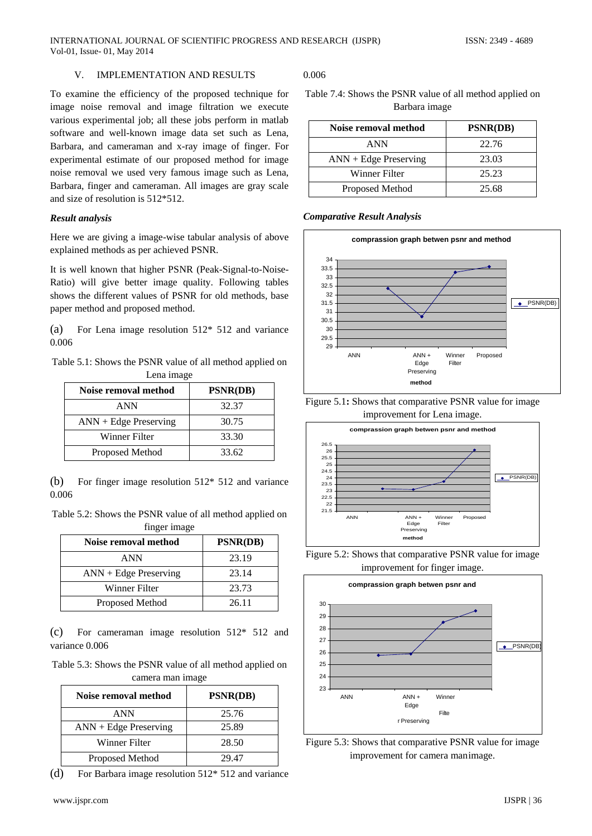## V. IMPLEMENTATION AND RESULTS

To examine the efficiency of the proposed technique for image noise removal and image filtration we execute various experimental job; all these jobs perform in matlab software and well-known image data set such as Lena, Barbara, and cameraman and x-ray image of finger. For experimental estimate of our proposed method for image noise removal we used very famous image such as Lena, Barbara, finger and cameraman. All images are gray scale and size of resolution is 512\*512.

#### *Result analysis*

Here we are giving a image-wise tabular analysis of above explained methods as per achieved PSNR.

It is well known that higher PSNR (Peak-Signal-to-Noise-Ratio) will give better image quality. Following tables shows the different values of PSNR for old methods, base paper method and proposed method.

(a) For Lena image resolution 512\* 512 and variance 0.006

Table 5.1: Shows the PSNR value of all method applied on Lena image

| Noise removal method    | <b>PSNR(DB)</b> |
|-------------------------|-----------------|
| <b>ANN</b>              | 32.37           |
| $ANN + Edge Preserving$ | 30.75           |
| Winner Filter           | 33.30           |
| Proposed Method         | 33.62           |

(b) For finger image resolution 512\* 512 and variance 0.006

Table 5.2: Shows the PSNR value of all method applied on finger image

| Noise removal method    | <b>PSNR(DB)</b> |
|-------------------------|-----------------|
| <b>ANN</b>              | 23.19           |
| $ANN + Edge$ Preserving | 23.14           |
| Winner Filter           | 23.73           |
| Proposed Method         | 26.11           |

(c) For cameraman image resolution 512\* 512 and variance 0.006

Table 5.3: Shows the PSNR value of all method applied on camera man image

| Noise removal method    | <b>PSNR(DB)</b> |
|-------------------------|-----------------|
| <b>ANN</b>              | 25.76           |
| $ANN + Edge Preserving$ | 25.89           |
| Winner Filter           | 28.50           |
| Proposed Method         | 29.47           |

(d) For Barbara image resolution 512\* 512 and variance

## 0.006

| Table 7.4: Shows the PSNR value of all method applied on |  |
|----------------------------------------------------------|--|
| Barbara image                                            |  |

| Noise removal method    | <b>PSNR(DB)</b> |
|-------------------------|-----------------|
| ANN                     | 22.76           |
| $ANN + Edge Preserving$ | 23.03           |
| Winner Filter           | 25.23           |
| Proposed Method         | 25.68           |

*Comparative Result Analysis*











Figure 5.3: Shows that comparative PSNR value for image improvement for camera manimage.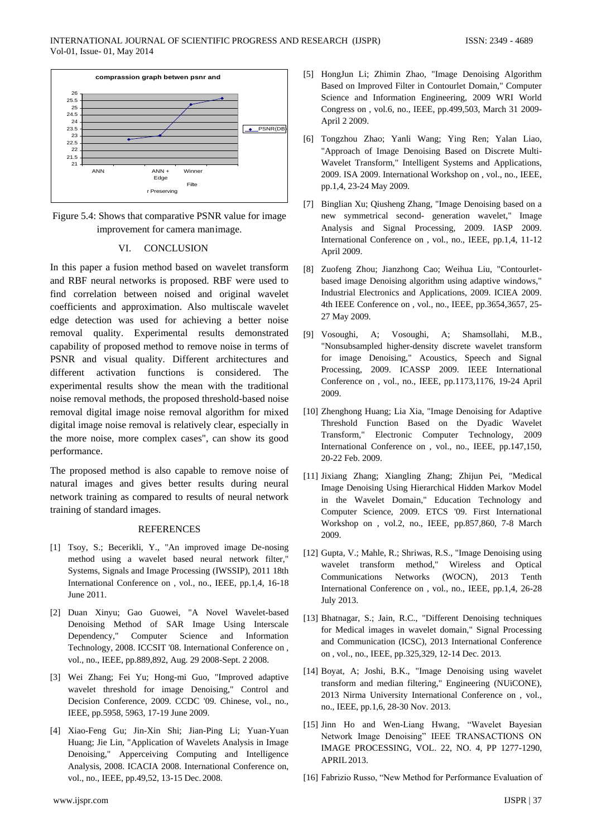

Figure 5.4: Shows that comparative PSNR value for image improvement for camera manimage.

#### VI. CONCLUSION

In this paper a fusion method based on wavelet transform and RBF neural networks is proposed. RBF were used to find correlation between noised and original wavelet coefficients and approximation. Also multiscale wavelet edge detection was used for achieving a better noise removal quality. Experimental results demonstrated capability of proposed method to remove noise in terms of PSNR and visual quality. Different architectures and different activation functions is considered. The experimental results show the mean with the traditional noise removal methods, the proposed threshold-based noise removal digital image noise removal algorithm for mixed digital image noise removal is relatively clear, especially in the more noise, more complex cases", can show its good performance.

The proposed method is also capable to remove noise of natural images and gives better results during neural network training as compared to results of neural network training of standard images.

#### REFERENCES

- [1] Tsoy, S.; Becerikli, Y., "An improved image De-nosing method using a wavelet based neural network filter," Systems, Signals and Image Processing (IWSSIP), 2011 18th International Conference on , vol., no., IEEE, pp.1,4, 16-18 June 2011.
- [2] Duan Xinyu; Gao Guowei, "A Novel Wavelet-based Denoising Method of SAR Image Using Interscale Dependency," Computer Science and Information Technology, 2008. ICCSIT '08. International Conference on , vol., no., IEEE, pp.889,892, Aug. 29 2008-Sept. 2 2008.
- [3] Wei Zhang; Fei Yu; Hong-mi Guo, "Improved adaptive wavelet threshold for image Denoising," Control and Decision Conference, 2009. CCDC '09. Chinese, vol., no., IEEE, pp.5958, 5963, 17-19 June 2009.
- [4] Xiao-Feng Gu; Jin-Xin Shi; Jian-Ping Li; Yuan-Yuan Huang; Jie Lin, "Application of Wavelets Analysis in Image Denoising," Apperceiving Computing and Intelligence Analysis, 2008. ICACIA 2008. International Conference on, vol., no., IEEE, pp.49,52, 13-15 Dec. 2008.
- [5] HongJun Li; Zhimin Zhao, "Image Denoising Algorithm Based on Improved Filter in Contourlet Domain," Computer Science and Information Engineering, 2009 WRI World Congress on , vol.6, no., IEEE, pp.499,503, March 31 2009- April 2 2009.
- [6] Tongzhou Zhao; Yanli Wang; Ying Ren; Yalan Liao, "Approach of Image Denoising Based on Discrete Multi-Wavelet Transform," Intelligent Systems and Applications, 2009. ISA 2009. International Workshop on , vol., no., IEEE, pp.1,4, 23-24 May 2009.
- [7] Binglian Xu; Qiusheng Zhang, "Image Denoising based on a new symmetrical second- generation wavelet," Image Analysis and Signal Processing, 2009. IASP 2009. International Conference on , vol., no., IEEE, pp.1,4, 11-12 April 2009.
- [8] Zuofeng Zhou; Jianzhong Cao; Weihua Liu, "Contourletbased image Denoising algorithm using adaptive windows," Industrial Electronics and Applications, 2009. ICIEA 2009. 4th IEEE Conference on , vol., no., IEEE, pp.3654,3657, 25- 27 May 2009.
- [9] Vosoughi, A; Vosoughi, A; Shamsollahi, M.B., "Nonsubsampled higher-density discrete wavelet transform for image Denoising," Acoustics, Speech and Signal Processing, 2009. ICASSP 2009. IEEE International Conference on , vol., no., IEEE, pp.1173,1176, 19-24 April 2009.
- [10] Zhenghong Huang; Lia Xia, "Image Denoising for Adaptive Threshold Function Based on the Dyadic Wavelet Transform," Electronic Computer Technology, 2009 International Conference on , vol., no., IEEE, pp.147,150, 20-22 Feb. 2009.
- [11] Jixiang Zhang; Xiangling Zhang; Zhijun Pei, "Medical Image Denoising Using Hierarchical Hidden Markov Model in the Wavelet Domain," Education Technology and Computer Science, 2009. ETCS '09. First International Workshop on , vol.2, no., IEEE, pp.857,860, 7-8 March 2009.
- [12] Gupta, V.; Mahle, R.; Shriwas, R.S., "Image Denoising using wavelet transform method," Wireless and Optical Communications Networks (WOCN), 2013 Tenth International Conference on , vol., no., IEEE, pp.1,4, 26-28 July 2013.
- [13] Bhatnagar, S.; Jain, R.C., "Different Denoising techniques for Medical images in wavelet domain," Signal Processing and Communication (ICSC), 2013 International Conference on , vol., no., IEEE, pp.325,329, 12-14 Dec. 2013.
- [14] Boyat, A; Joshi, B.K., "Image Denoising using wavelet transform and median filtering," Engineering (NUiCONE), 2013 Nirma University International Conference on , vol., no., IEEE, pp.1,6, 28-30 Nov. 2013.
- [15] Jinn Ho and Wen-Liang Hwang, "Wavelet Bayesian Network Image Denoising" IEEE TRANSACTIONS ON IMAGE PROCESSING, VOL. 22, NO. 4, PP 1277-1290, APRIL2013.
- [16] Fabrizio Russo, "New Method for Performance Evaluation of